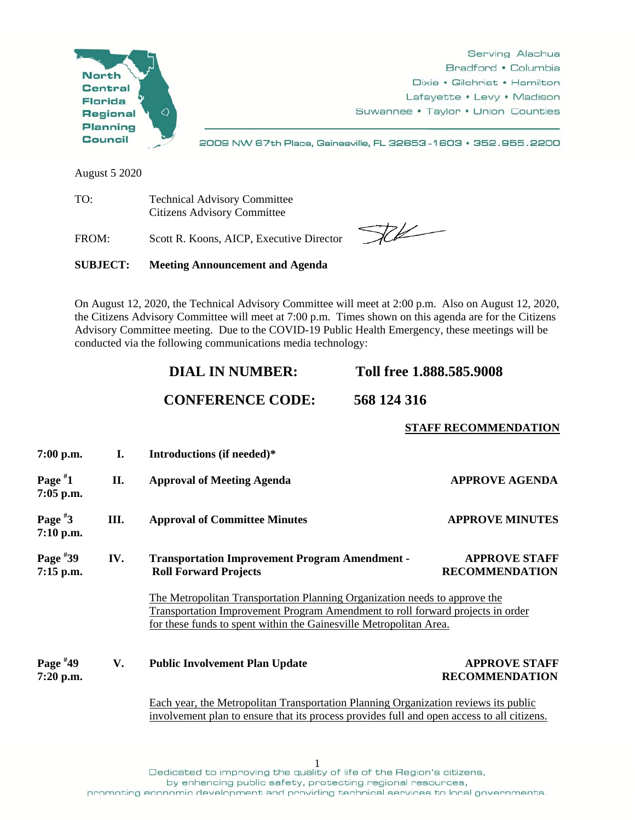

August 5 2020

TO: Technical Advisory Committee Citizens Advisory Committee

FROM: Scott R. Koons, AICP, Executive Director

 $\begin{picture}(20,20) \put(0,0){\vector(1,0){10}} \put(15,0){\vector(1,0){10}} \put(15,0){\vector(1,0){10}} \put(15,0){\vector(1,0){10}} \put(15,0){\vector(1,0){10}} \put(15,0){\vector(1,0){10}} \put(15,0){\vector(1,0){10}} \put(15,0){\vector(1,0){10}} \put(15,0){\vector(1,0){10}} \put(15,0){\vector(1,0){10}} \put(15,0){\vector(1,0){10}} \put(15,0){\vector(1$ 

**STAFF RECOMMENDATION**

**SUBJECT: Meeting Announcement and Agenda** 

On August 12, 2020, the Technical Advisory Committee will meet at 2:00 p.m. Also on August 12, 2020, the Citizens Advisory Committee will meet at 7:00 p.m. Times shown on this agenda are for the Citizens Advisory Committee meeting. Due to the COVID-19 Public Health Emergency, these meetings will be conducted via the following communications media technology:

| Toll free 1.888.585.9008<br><b>DIAL IN NUMBER:</b> |  |
|----------------------------------------------------|--|
|----------------------------------------------------|--|

## **CONFERENCE CODE: 568 124 316**

**7:00 p.m. I. Introductions (if needed)\* Page # 11.** Approval of Meeting Agenda **APPROVE AGENDA 7:05 p.m. Page # 3 III. Approval of Committee Minutes APPROVE MINUTES 7:10 p.m. Page # 39 IV. Transportation Improvement Program Amendment - APPROVE STAFF 7:15 p.m. Roll Forward Projects RECOMMENDATION** The Metropolitan Transportation Planning Organization needs to approve the Transportation Improvement Program Amendment to roll forward projects in order for these funds to spent within the Gainesville Metropolitan Area. **Page #** V. Public Involvement Plan Update **APPROVE STAFF 7:20 p.m. RECOMMENDATION** Each year, the Metropolitan Transportation Planning Organization reviews its public involvement plan to ensure that its process provides full and open access to all citizens.